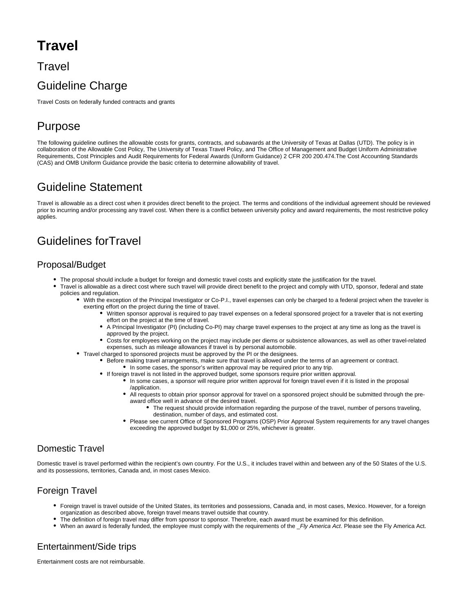# **Travel**

### **Travel**

## Guideline Charge

Travel Costs on federally funded contracts and grants

## Purpose

The following guideline outlines the allowable costs for grants, contracts, and subawards at the University of Texas at Dallas (UTD). The policy is in collaboration of the Allowable Cost Policy, The University of Texas Travel Policy, and The Office of Management and Budget Uniform Administrative Requirements, Cost Principles and Audit Requirements for Federal Awards (Uniform Guidance) 2 CFR 200 200.474.The Cost Accounting Standards (CAS) and OMB Uniform Guidance provide the basic criteria to determine allowability of travel.

## Guideline Statement

Travel is allowable as a direct cost when it provides direct benefit to the project. The terms and conditions of the individual agreement should be reviewed prior to incurring and/or processing any travel cost. When there is a conflict between university policy and award requirements, the most restrictive policy applies.

## Guidelines forTravel

### Proposal/Budget

- The proposal should include a budget for foreign and domestic travel costs and explicitly state the justification for the travel.
- Travel is allowable as a direct cost where such travel will provide direct benefit to the project and comply with UTD, sponsor, federal and state policies and regulation.
	- With the exception of the Principal Investigator or Co-P.I., travel expenses can only be charged to a federal project when the traveler is exerting effort on the project during the time of travel.
		- Written sponsor approval is required to pay travel expenses on a federal sponsored project for a traveler that is not exerting effort on the project at the time of travel.
			- $\bullet$ A Principal Investigator (PI) (including Co-PI) may charge travel expenses to the project at any time as long as the travel is approved by the project.
			- Costs for employees working on the project may include per diems or subsistence allowances, as well as other travel-related expenses, such as mileage allowances if travel is by personal automobile.
	- Travel charged to sponsored projects must be approved by the PI or the designees.
		- Before making travel arrangements, make sure that travel is allowed under the terms of an agreement or contract. • In some cases, the sponsor's written approval may be required prior to any trip.
		- If foreign travel is not listed in the approved budget, some sponsors require prior written approval.
			- In some cases, a sponsor will require prior written approval for foreign travel even if it is listed in the proposal /application.
			- All requests to obtain prior sponsor approval for travel on a sponsored project should be submitted through the preaward office well in advance of the desired travel.
				- The request should provide information regarding the purpose of the travel, number of persons traveling, destination, number of days, and estimated cost.
			- Please see current Office of Sponsored Programs (OSP) Prior Approval System requirements for any travel changes exceeding the approved budget by \$1,000 or 25%, whichever is greater.

### Domestic Travel

Domestic travel is travel performed within the recipient's own country. For the U.S., it includes travel within and between any of the 50 States of the U.S. and its possessions, territories, Canada and, in most cases Mexico.

### Foreign Travel

- Foreign travel is travel outside of the United States, its territories and possessions, Canada and, in most cases, Mexico. However, for a foreign organization as described above, foreign travel means travel outside that country.
- The definition of foreign travel may differ from sponsor to sponsor. Therefore, each award must be examined for this definition.
- When an award is federally funded, the employee must comply with the requirements of the \_Fly America Act. Please see the Fly America Act.

### Entertainment/Side trips

Entertainment costs are not reimbursable.